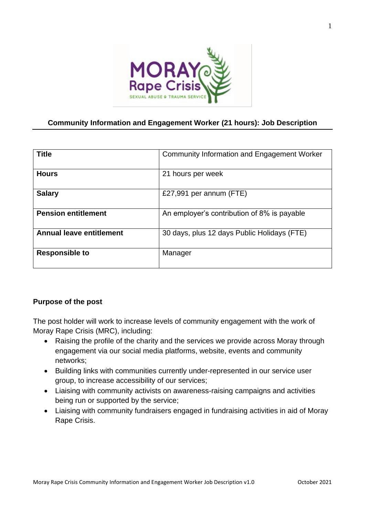

## **Community Information and Engagement Worker (21 hours): Job Description**

| <b>Title</b>                    | Community Information and Engagement Worker |
|---------------------------------|---------------------------------------------|
| <b>Hours</b>                    | 21 hours per week                           |
| <b>Salary</b>                   | £27,991 per annum $(FTE)$                   |
| <b>Pension entitlement</b>      | An employer's contribution of 8% is payable |
| <b>Annual leave entitlement</b> | 30 days, plus 12 days Public Holidays (FTE) |
| <b>Responsible to</b>           | Manager                                     |

## **Purpose of the post**

The post holder will work to increase levels of community engagement with the work of Moray Rape Crisis (MRC), including:

- Raising the profile of the charity and the services we provide across Moray through engagement via our social media platforms, website, events and community networks;
- Building links with communities currently under-represented in our service user group, to increase accessibility of our services;
- Liaising with community activists on awareness-raising campaigns and activities being run or supported by the service;
- Liaising with community fundraisers engaged in fundraising activities in aid of Moray Rape Crisis.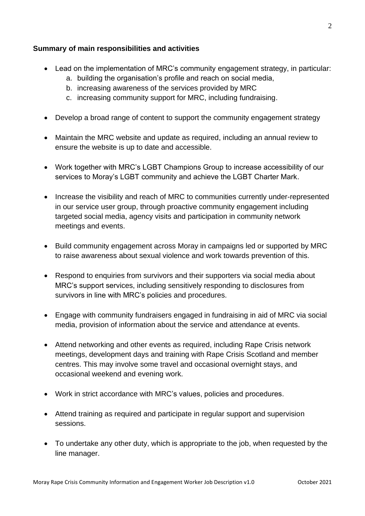## **Summary of main responsibilities and activities**

- Lead on the implementation of MRC's community engagement strategy, in particular:
	- a. building the organisation's profile and reach on social media,
	- b. increasing awareness of the services provided by MRC
	- c. increasing community support for MRC, including fundraising.
- Develop a broad range of content to support the community engagement strategy
- Maintain the MRC website and update as required, including an annual review to ensure the website is up to date and accessible.
- Work together with MRC's LGBT Champions Group to increase accessibility of our services to Moray's LGBT community and achieve the LGBT Charter Mark.
- Increase the visibility and reach of MRC to communities currently under-represented in our service user group, through proactive community engagement including targeted social media, agency visits and participation in community network meetings and events.
- Build community engagement across Moray in campaigns led or supported by MRC to raise awareness about sexual violence and work towards prevention of this.
- Respond to enquiries from survivors and their supporters via social media about MRC's support services, including sensitively responding to disclosures from survivors in line with MRC's policies and procedures.
- Engage with community fundraisers engaged in fundraising in aid of MRC via social media, provision of information about the service and attendance at events.
- Attend networking and other events as required, including Rape Crisis network meetings, development days and training with Rape Crisis Scotland and member centres. This may involve some travel and occasional overnight stays, and occasional weekend and evening work.
- Work in strict accordance with MRC's values, policies and procedures.
- Attend training as required and participate in regular support and supervision sessions.
- To undertake any other duty, which is appropriate to the job, when requested by the line manager.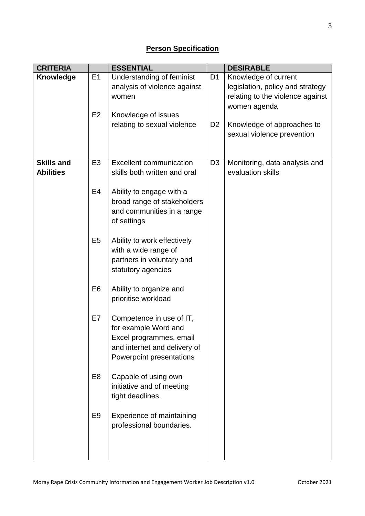| <b>CRITERIA</b>   |                | <b>ESSENTIAL</b>                                      |                | <b>DESIRABLE</b>                 |
|-------------------|----------------|-------------------------------------------------------|----------------|----------------------------------|
| Knowledge         | E1             | Understanding of feminist                             | D <sub>1</sub> | Knowledge of current             |
|                   |                | analysis of violence against                          |                | legislation, policy and strategy |
|                   |                | women                                                 |                | relating to the violence against |
|                   |                |                                                       |                | women agenda                     |
|                   | E <sub>2</sub> | Knowledge of issues                                   |                |                                  |
|                   |                | relating to sexual violence                           | D <sub>2</sub> | Knowledge of approaches to       |
|                   |                |                                                       |                | sexual violence prevention       |
|                   |                |                                                       |                |                                  |
| <b>Skills and</b> | E <sub>3</sub> | <b>Excellent communication</b>                        | D <sub>3</sub> | Monitoring, data analysis and    |
| <b>Abilities</b>  |                | skills both written and oral                          |                | evaluation skills                |
|                   |                |                                                       |                |                                  |
|                   | E4             | Ability to engage with a                              |                |                                  |
|                   |                | broad range of stakeholders                           |                |                                  |
|                   |                | and communities in a range                            |                |                                  |
|                   |                | of settings                                           |                |                                  |
|                   |                |                                                       |                |                                  |
|                   | E <sub>5</sub> | Ability to work effectively                           |                |                                  |
|                   |                | with a wide range of                                  |                |                                  |
|                   |                | partners in voluntary and                             |                |                                  |
|                   |                | statutory agencies                                    |                |                                  |
|                   | E <sub>6</sub> |                                                       |                |                                  |
|                   |                | Ability to organize and<br>prioritise workload        |                |                                  |
|                   |                |                                                       |                |                                  |
|                   | E7             | Competence in use of IT,                              |                |                                  |
|                   |                | for example Word and                                  |                |                                  |
|                   |                | Excel programmes, email                               |                |                                  |
|                   |                | and internet and delivery of                          |                |                                  |
|                   |                | Powerpoint presentations                              |                |                                  |
|                   |                |                                                       |                |                                  |
|                   | E <sub>8</sub> | Capable of using own                                  |                |                                  |
|                   |                | initiative and of meeting                             |                |                                  |
|                   |                | tight deadlines.                                      |                |                                  |
|                   | E <sub>9</sub> |                                                       |                |                                  |
|                   |                | Experience of maintaining<br>professional boundaries. |                |                                  |
|                   |                |                                                       |                |                                  |
|                   |                |                                                       |                |                                  |
|                   |                |                                                       |                |                                  |